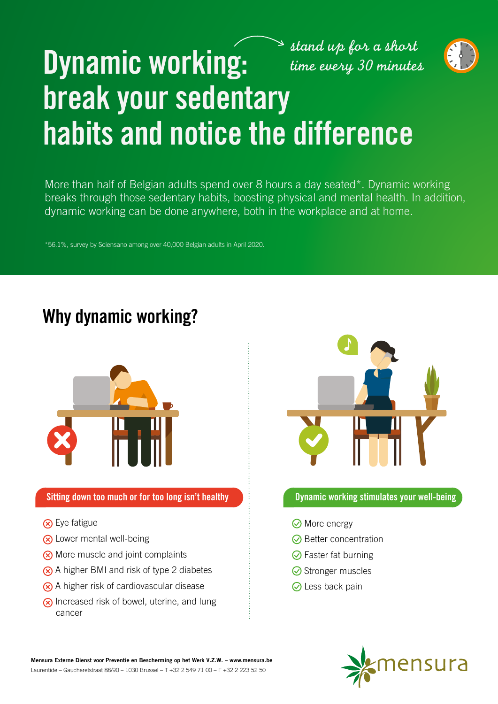# *stand up for a short*



# **Dynamic working:** *time every 30 minutes* **break your sedentary habits and notice the difference**

More than half of Belgian adults spend over 8 hours a day seated\*. Dynamic working breaks through those sedentary habits, boosting physical and mental health. In addition, dynamic working can be done anywhere, both in the workplace and at home.

\*56.1%, survey by Sciensano among over 40,000 Belgian adults in April 2020.

## **Why dynamic working?**



### **Sitting down too much or for too long isn't healthy Democytically and Dynamic working stimulates your well-being**

- **(x)** Eye fatigue
- **(x)** Lower mental well-being
- **(x)** More muscle and joint complaints
- $\overline{\otimes}$  A higher BMI and risk of type 2 diabetes
- A higher risk of cardiovascular disease
- $\circ$  Increased risk of bowel, uterine, and lung cancer



- **⊘** More energy
- $\odot$  Better concentration
- $\odot$  Faster fat burning
- **◯** Stronger muscles
- **⊘** Less back pain



**Mensura Externe Dienst voor Preventie en Bescherming op het Werk V.Z.W. – www.mensura.be** Laurentide – Gaucheretstraat 88/90 – 1030 Brussel – T +32 2 549 71 00 – F +32 2 223 52 50